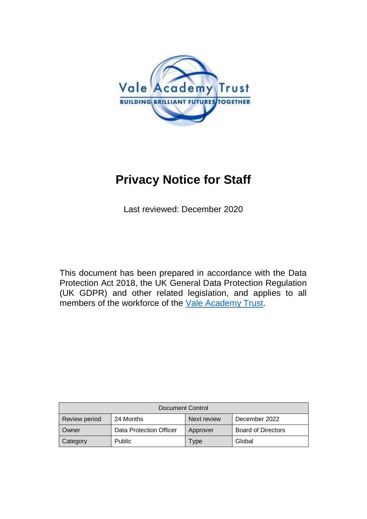

# **Privacy Notice for Staff**

Last reviewed: December 2020

This document has been prepared in accordance with the Data Protection Act 2018, the UK General Data Protection Regulation (UK GDPR) and other related legislation, and applies to all members of the workforce of the [Vale Academy Trust.](http://www.vale-academy.org/)

| Document Control     |                         |             |                           |
|----------------------|-------------------------|-------------|---------------------------|
| <b>Review period</b> | 24 Months               | Next review | December 2022             |
| Owner                | Data Protection Officer | Approver    | <b>Board of Directors</b> |
| Category             | <b>Public</b>           | Type        | Global                    |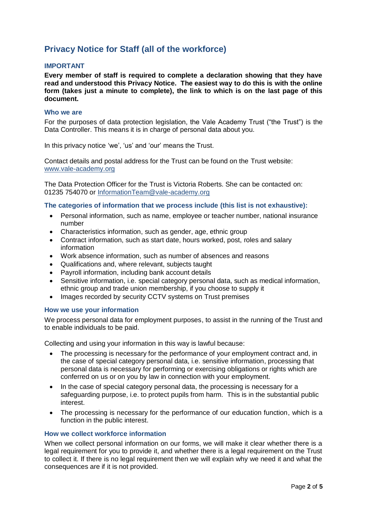# **Privacy Notice for Staff (all of the workforce)**

#### **IMPORTANT**

**Every member of staff is required to complete a declaration showing that they have read and understood this Privacy Notice. The easiest way to do this is with the online form (takes just a minute to complete), the link to which is on the last page of this document.**

#### **Who we are**

For the purposes of data protection legislation, the Vale Academy Trust ("the Trust") is the Data Controller. This means it is in charge of personal data about you.

In this privacy notice 'we', 'us' and 'our' means the Trust.

Contact details and postal address for the Trust can be found on the Trust website: [www.vale-academy.org](http://www.vale-academy.org/)

The Data Protection Officer for the Trust is Victoria Roberts. She can be contacted on: 01235 754070 or [InformationTeam@vale-academy.org](mailto:InformationTeam@vale-academy.org)

#### **The categories of information that we process include (this list is not exhaustive):**

- Personal information, such as name, employee or teacher number, national insurance number
- Characteristics information, such as gender, age, ethnic group
- Contract information, such as start date, hours worked, post, roles and salary information
- Work absence information, such as number of absences and reasons
- Qualifications and, where relevant, subjects taught
- Payroll information, including bank account details
- Sensitive information, i.e. special category personal data, such as medical information, ethnic group and trade union membership, if you choose to supply it
- Images recorded by security CCTV systems on Trust premises

#### **How we use your information**

We process personal data for employment purposes, to assist in the running of the Trust and to enable individuals to be paid.

Collecting and using your information in this way is lawful because:

- The processing is necessary for the performance of your employment contract and, in the case of special category personal data, i.e. sensitive information, processing that personal data is necessary for performing or exercising obligations or rights which are conferred on us or on you by law in connection with your employment.
- In the case of special category personal data, the processing is necessary for a safeguarding purpose, i.e. to protect pupils from harm. This is in the substantial public interest.
- The processing is necessary for the performance of our education function, which is a function in the public interest.

#### **How we collect workforce information**

When we collect personal information on our forms, we will make it clear whether there is a legal requirement for you to provide it, and whether there is a legal requirement on the Trust to collect it. If there is no legal requirement then we will explain why we need it and what the consequences are if it is not provided.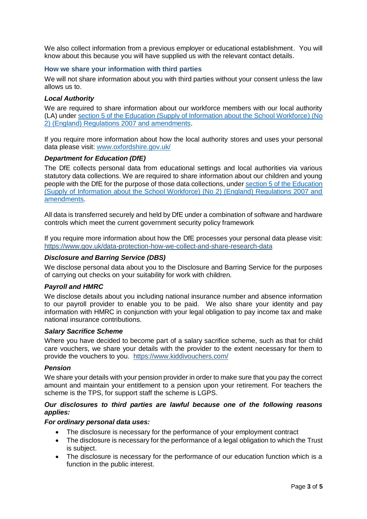We also collect information from a previous employer or educational establishment. You will know about this because you will have supplied us with the relevant contact details.

#### **How we share your information with third parties**

We will not share information about you with third parties without your consent unless the law allows us to.

#### *Local Authority*

We are required to share information about our workforce members with our local authority (LA) under [section 5 of the Education \(Supply of Information about the School Workforce\) \(No](http://www.legislation.gov.uk/uksi/2007/2260/contents/made)  [2\) \(England\) Regulations 2007 and amendments.](http://www.legislation.gov.uk/uksi/2007/2260/contents/made)

If you require more information about how the local authority stores and uses your personal data please visit: [www.oxfordshire.gov.uk/](http://www.oxfordshire.gov.uk/)

#### *Department for Education (DfE)*

The DfE collects personal data from educational settings and local authorities via various statutory data collections. We are required to share information about our children and young people with the DfE for the purpose of those data collections, under [section 5 of the Education](http://www.legislation.gov.uk/uksi/2007/2260/contents/made)  [\(Supply of Information about the School Workforce\) \(No 2\) \(England\) Regulations 2007 and](http://www.legislation.gov.uk/uksi/2007/2260/contents/made)  [amendments.](http://www.legislation.gov.uk/uksi/2007/2260/contents/made)

All data is transferred securely and held by DfE under a combination of software and hardware controls which meet the current government security policy framework

If you require more information about how the DfE processes your personal data please visit: <https://www.gov.uk/data-protection-how-we-collect-and-share-research-data>

#### *Disclosure and Barring Service (DBS)*

We disclose personal data about you to the Disclosure and Barring Service for the purposes of carrying out checks on your suitability for work with children.

#### *Payroll and HMRC*

We disclose details about you including national insurance number and absence information to our payroll provider to enable you to be paid. We also share your identity and pay information with HMRC in conjunction with your legal obligation to pay income tax and make national insurance contributions.

#### *Salary Sacrifice Scheme*

Where you have decided to become part of a salary sacrifice scheme, such as that for child care vouchers, we share your details with the provider to the extent necessary for them to provide the vouchers to you. <https://www.kiddivouchers.com/>

#### *Pension*

We share your details with your pension provider in order to make sure that you pay the correct amount and maintain your entitlement to a pension upon your retirement. For teachers the scheme is the TPS, for support staff the scheme is LGPS.

#### *Our disclosures to third parties are lawful because one of the following reasons applies:*

#### *For ordinary personal data uses:*

- The disclosure is necessary for the performance of your employment contract
- The disclosure is necessary for the performance of a legal obligation to which the Trust is subject.
- The disclosure is necessary for the performance of our education function which is a function in the public interest.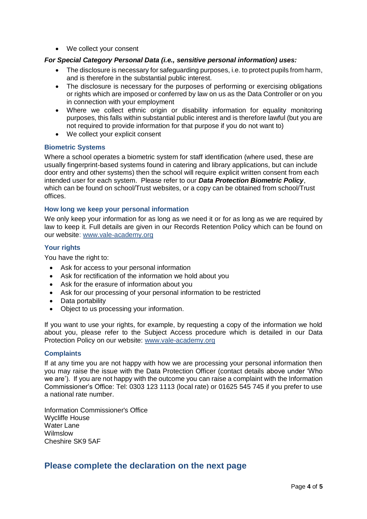We collect your consent

#### *For Special Category Personal Data (i.e., sensitive personal information) uses:*

- The disclosure is necessary for safeguarding purposes, i.e. to protect pupils from harm, and is therefore in the substantial public interest.
- The disclosure is necessary for the purposes of performing or exercising obligations or rights which are imposed or conferred by law on us as the Data Controller or on you in connection with your employment
- Where we collect ethnic origin or disability information for equality monitoring purposes, this falls within substantial public interest and is therefore lawful (but you are not required to provide information for that purpose if you do not want to)
- We collect your explicit consent

#### **Biometric Systems**

Where a school operates a biometric system for staff identification (where used, these are usually fingerprint-based systems found in catering and library applications, but can include door entry and other systems) then the school will require explicit written consent from each intended user for each system. Please refer to our *Data Protection Biometric Policy*, which can be found on school/Trust websites, or a copy can be obtained from school/Trust offices.

#### **How long we keep your personal information**

We only keep your information for as long as we need it or for as long as we are required by law to keep it. Full details are given in our Records Retention Policy which can be found on our website: [www.vale-academy.org](http://www.vale-academy.org/)

#### **Your rights**

You have the right to:

- Ask for access to your personal information
- Ask for rectification of the information we hold about you
- Ask for the erasure of information about you
- Ask for our processing of your personal information to be restricted
- Data portability
- Object to us processing your information.

If you want to use your rights, for example, by requesting a copy of the information we hold about you, please refer to the Subject Access procedure which is detailed in our Data Protection Policy on our website: www.vale-academy.org

#### **Complaints**

If at any time you are not happy with how we are processing your personal information then you may raise the issue with the Data Protection Officer (contact details above under 'Who we are'). If you are not happy with the outcome you can raise a complaint with the Information Commissioner's Office: Tel: 0303 123 1113 (local rate) or 01625 545 745 if you prefer to use a national rate number.

Information Commissioner's Office Wycliffe House Water Lane Wilmslow Cheshire SK9 5AF

## **Please complete the declaration on the next page**